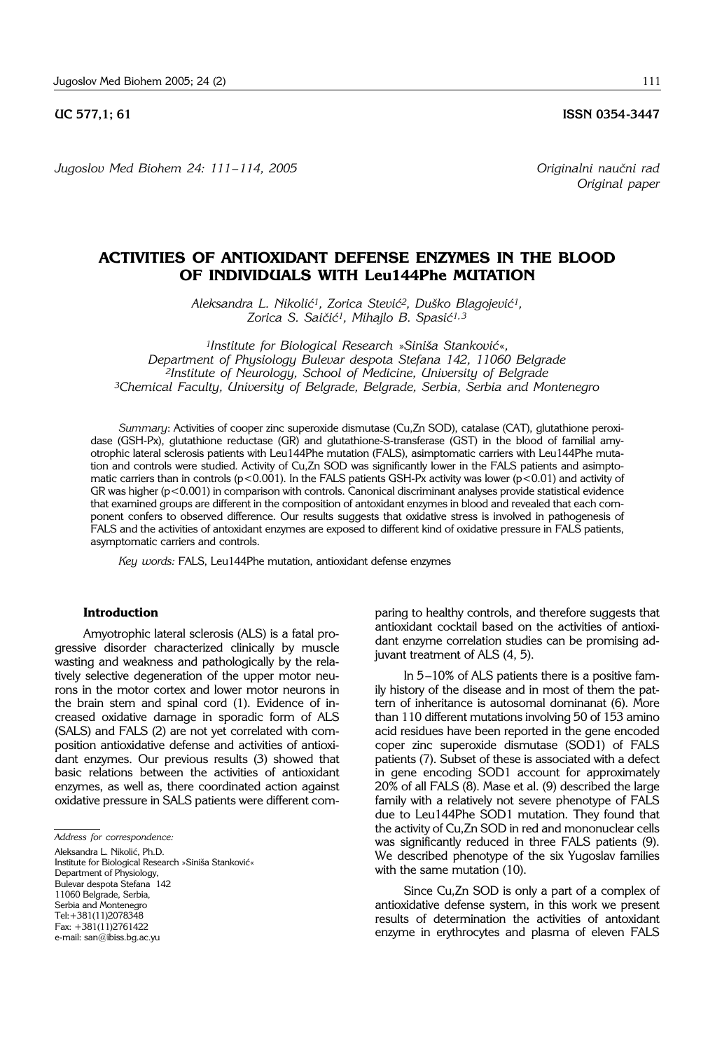*Jugoslov Med Biohem 24: 111– 114, 2005 Originalni nau~ni rad*

# **ACTIVITIES OF ANTIOXIDANT DEFENSE ENZYMES IN THE BLOOD OF INDIVIDUALS WITH Leu144Phe MUTATION**

Aleksandra L. Nikolić<sup>1</sup>, Zorica Stević<sup>2</sup>, Duško Blagojević<sup>1</sup>, Zorica S. Saičić<sup>1</sup>, Mihajlo B. Spasić<sup>1,3</sup>

*1Institute for Biological Research »*Siniša Stanković«, *Department of Physiology Bulevar despota Stefana 142, 11060 Belgrade 2Institute of Neurology, School of Medicine, University of Belgrade 3Chemical Faculty, University of Belgrade, Belgrade, Serbia, Serbia and Montenegro*

*Summary*: Activities of cooper zinc superoxide dismutase (Cu,Zn SOD), catalase (CAT), glutathione peroxidase (GSH-Px), glutathione reductase (GR) and glutathione-S-transferase (GST) in the blood of familial amyotrophic lateral sclerosis patients with Leu144Phe mutation (FALS), asimptomatic carriers with Leu144Phe mutation and controls were studied. Activity of Cu,Zn SOD was significantly lower in the FALS patients and asimptomatic carriers than in controls ( $p < 0.001$ ). In the FALS patients GSH-Px activity was lower ( $p < 0.01$ ) and activity of GR was higher (p<0.001) in comparison with controls. Canonical discriminant analyses provide statistical evidence that examined groups are different in the composition of antoxidant enzymes in blood and revealed that each component confers to observed difference. Our results suggests that oxidative stress is involved in pathogenesis of FALS and the activities of antoxidant enzymes are exposed to different kind of oxidative pressure in FALS patients, asymptomatic carriers and controls.

*Key words:* FALS, Leu144Phe mutation, antioxidant defense enzymes

#### **Introduction**

Amyotrophic lateral sclerosis (ALS) is a fatal progressive disorder characterized clinically by muscle wasting and weakness and pathologically by the relatively selective degeneration of the upper motor neurons in the motor cortex and lower motor neurons in the brain stem and spinal cord (1). Evidence of increased oxidative damage in sporadic form of ALS (SALS) and FALS (2) are not yet correlated with composition antioxidative defense and activities of antioxidant enzymes. Our previous results (3) showed that basic relations between the activities of antioxidant enzymes, as well as, there coordinated action against oxidative pressure in SALS patients were different com-

*Address for correspondence:*

Aleksandra L. Nikolić, Ph.D. Institute for Biological Research »Siniša Stanković« Department of Physiology, Bulevar despota Stefana 142 11060 Belgrade, Serbia, Serbia and Montenegro Tel:+381(11)2078348 Fax: +381(11)2761422 e-mail: san@ibiss.bg.ac.yu

paring to healthy controls, and therefore suggests that antioxidant cocktail based on the activities of antioxidant enzyme correlation studies can be promising adjuvant treatment of ALS (4, 5).

In  $5-10\%$  of ALS patients there is a positive family history of the disease and in most of them the pattern of inheritance is autosomal dominanat (6). More than 110 different mutations involving 50 of 153 amino acid residues have been reported in the gene encoded coper zinc superoxide dismutase (SOD1) of FALS patients (7). Subset of these is associated with a defect in gene encoding SOD1 account for approximately 20% of all FALS (8). Mase et al. (9) described the large family with a relatively not severe phenotype of FALS due to Leu144Phe SOD1 mutation. They found that the activity of Cu,Zn SOD in red and mononuclear cells was significantly reduced in three FALS patients (9). We described phenotype of the six Yugoslav families with the same mutation (10).

Since Cu,Zn SOD is only a part of a complex of antioxidative defense system, in this work we present results of determination the activities of antoxidant enzyme in erythrocytes and plasma of eleven FALS

**UC 577,1; 61 ISSN 0354-3447** 

*Original paper*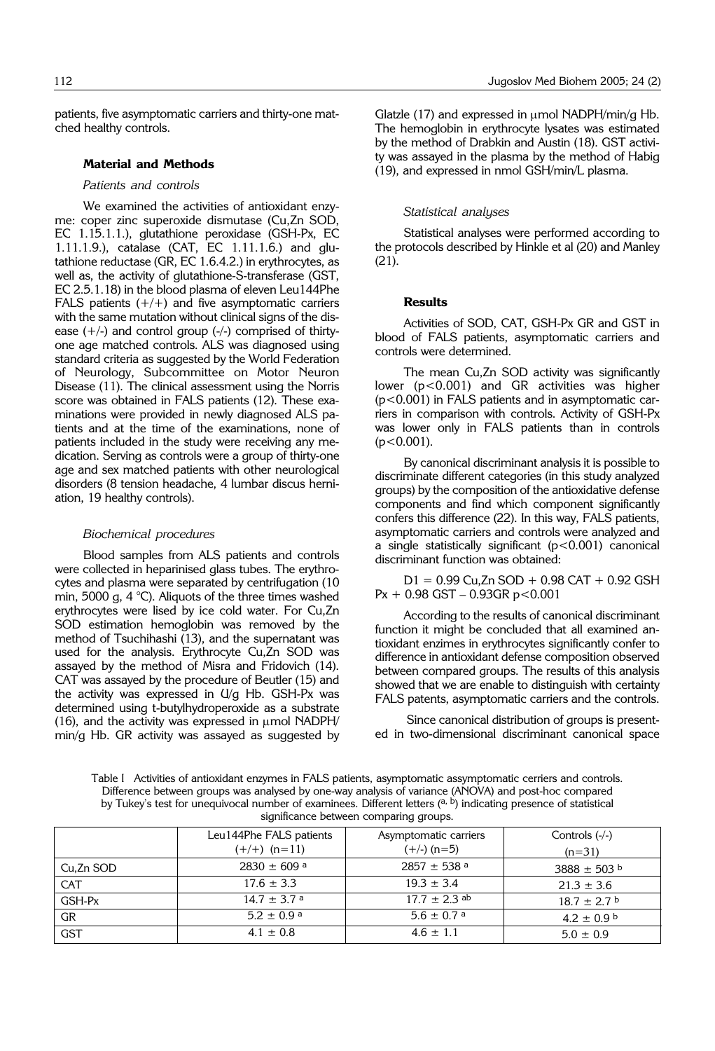patients, five asymptomatic carriers and thirty-one matched healthy controls.

#### **Material and Methods**

#### *Patients and controls*

We examined the activities of antioxidant enzyme: coper zinc superoxide dismutase (Cu,Zn SOD, EC 1.15.1.1.), glutathione peroxidase (GSH-Px, EC 1.11.1.9.), catalase (CAT, EC 1.11.1.6.) and glutathione reductase (GR, EC 1.6.4.2.) in erythrocytes, as well as, the activity of glutathione-S-transferase (GST, EC 2.5.1.18) in the blood plasma of eleven Leu144Phe FALS patients  $(+/+)$  and five asymptomatic carriers with the same mutation without clinical signs of the disease  $(+/-)$  and control group  $(-/-)$  comprised of thirtyone age matched controls. ALS was diagnosed using standard criteria as suggested by the World Federation of Neurology, Subcommittee on Motor Neuron Disease (11). The clinical assessment using the Norris score was obtained in FALS patients (12). These examinations were provided in newly diagnosed ALS patients and at the time of the examinations, none of patients included in the study were receiving any medication. Serving as controls were a group of thirty-one age and sex matched patients with other neurological disorders (8 tension headache, 4 lumbar discus herniation, 19 healthy controls).

#### *Biochemical procedures*

Blood samples from ALS patients and controls were collected in heparinised glass tubes. The erythrocytes and plasma were separated by centrifugation (10 min, 5000 g, 4 °C). Aliquots of the three times washed erythrocytes were lised by ice cold water. For Cu,Zn SOD estimation hemoglobin was removed by the method of Tsuchihashi (13), and the supernatant was used for the analysis. Erythrocyte Cu,Zn SOD was assayed by the method of Misra and Fridovich (14). CAT was assayed by the procedure of Beutler (15) and the activity was expressed in U/g Hb. GSH-Px was determined using t-butylhydroperoxide as a substrate (16), and the activity was expressed in  $\mu$ mol NADPH/ min/g Hb. GR activity was assayed as suggested by

Glatzle  $(17)$  and expressed in  $\mu$ mol NADPH/min/q Hb. The hemoglobin in erythrocyte lysates was estimated by the method of Drabkin and Austin (18). GST activity was assayed in the plasma by the method of Habig (19), and expressed in nmol GSH/min/L plasma.

#### *Statistical analyses*

Statistical analyses were performed according to the protocols described by Hinkle et al (20) and Manley (21).

#### **Results**

Activities of SOD, CAT, GSH-Px GR and GST in blood of FALS patients, asymptomatic carriers and controls were determined.

The mean Cu,Zn SOD activity was significantly lower (p<0.001) and GR activities was higher (p<0.001) in FALS patients and in asymptomatic carriers in comparison with controls. Activity of GSH-Px was lower only in FALS patients than in controls  $(p<0.001)$ .

By canonical discriminant analysis it is possible to discriminate different categories (in this study analyzed groups) by the composition of the antioxidative defense components and find which component significantly confers this difference (22). In this way, FALS patients, asymptomatic carriers and controls were analyzed and a single statistically significant  $(p<0.001)$  canonical discriminant function was obtained:

 $D1 = 0.99$  Cu,Zn SOD + 0.98 CAT + 0.92 GSH  $Px + 0.98$  GST  $- 0.93$ GR p < 0.001

According to the results of canonical discriminant function it might be concluded that all examined antioxidant enzimes in erythrocytes significantly confer to difference in antioxidant defense composition observed between compared groups. The results of this analysis showed that we are enable to distinguish with certainty FALS patents, asymptomatic carriers and the controls.

Since canonical distribution of groups is presented in two-dimensional discriminant canonical space

Table I Activities of antioxidant enzymes in FALS patients, asymptomatic assymptomatic cerriers and controls. Difference between groups was analysed by one-way analysis of variance (ANOVA) and post-hoc compared by Tukey's test for unequivocal number of examinees. Different letters (a, b) indicating presence of statistical significance between comparing groups.

|            | Leu144Phe FALS patients<br>$(+/+)$ (n=11) | Asymptomatic carriers<br>$(+/-)$ (n=5) | Controls $(-/-)$<br>$(n=31)$ |
|------------|-------------------------------------------|----------------------------------------|------------------------------|
| Cu,Zn SOD  | $2830 \pm 609$ a                          | $2857 \pm 538$ <sup>a</sup>            | $3888 \pm 503$ b             |
| <b>CAT</b> | $17.6 \pm 3.3$                            | $19.3 \pm 3.4$                         | $21.3 \pm 3.6$               |
| GSH-Px     | $14.7 \pm 3.7$ a                          | $17.7 \pm 2.3$ ab                      | $18.7 + 2.7$                 |
| GR         | $5.2 \pm 0.9$ <sup>a</sup>                | $5.6 \pm 0.7$ <sup>a</sup>             | $4.2 + 0.9$ b                |
| <b>GST</b> | $4.1 \pm 0.8$                             | $4.6 \pm 1.1$                          | $5.0 \pm 0.9$                |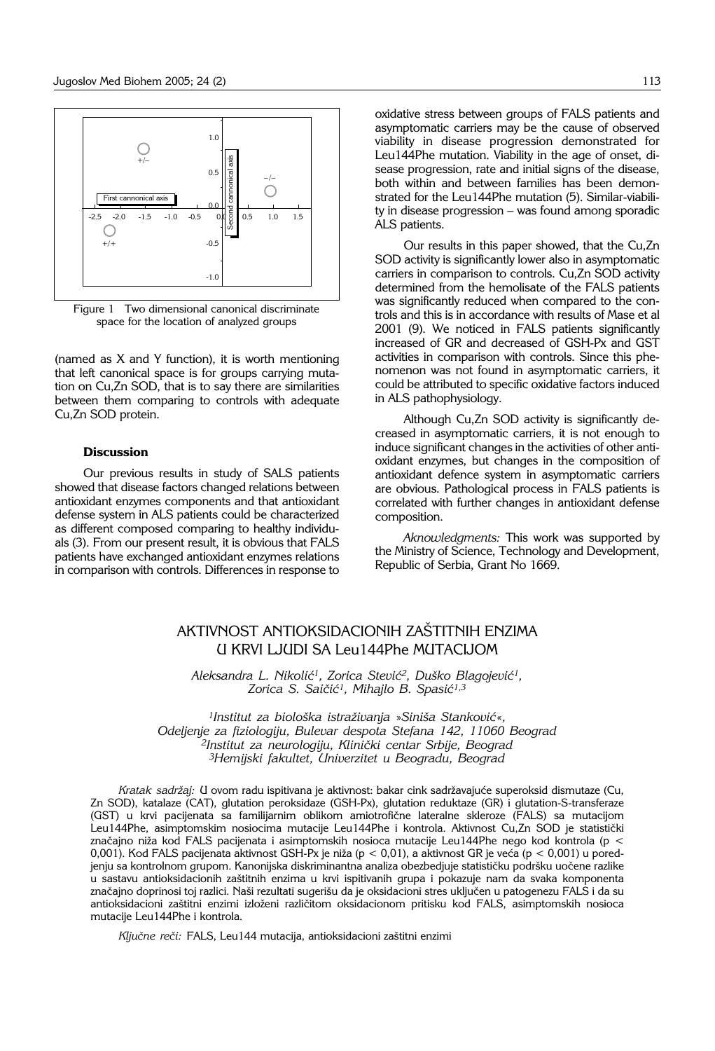

Figure 1 Two dimensional canonical discriminate space for the location of analyzed groups

(named as X and Y function), it is worth mentioning that left canonical space is for groups carrying mutation on Cu,Zn SOD, that is to say there are similarities between them comparing to controls with adequate Cu,Zn SOD protein.

### **Discussion**

Our previous results in study of SALS patients showed that disease factors changed relations between antioxidant enzymes components and that antioxidant defense system in ALS patients could be characterized as different composed comparing to healthy individuals (3). From our present result, it is obvious that FALS patients have exchanged antioxidant enzymes relations in comparison with controls. Differences in response to

oxidative stress between groups of FALS patients and asymptomatic carriers may be the cause of observed viability in disease progression demonstrated for Leu144Phe mutation. Viability in the age of onset, disease progression, rate and initial signs of the disease, both within and between families has been demonstrated for the Leu144Phe mutation (5). Similar-viabili $ty$  in disease progression  $-$  was found among sporadic ALS patients.

Our results in this paper showed, that the Cu,Zn SOD activity is significantly lower also in asymptomatic carriers in comparison to controls. Cu,Zn SOD activity determined from the hemolisate of the FALS patients was significantly reduced when compared to the controls and this is in accordance with results of Mase et al 2001 (9). We noticed in FALS patients significantly increased of GR and decreased of GSH-Px and GST activities in comparison with controls. Since this phenomenon was not found in asymptomatic carriers, it could be attributed to specific oxidative factors induced in ALS pathophysiology.

Although Cu,Zn SOD activity is significantly decreased in asymptomatic carriers, it is not enough to induce significant changes in the activities of other antioxidant enzymes, but changes in the composition of antioxidant defence system in asymptomatic carriers are obvious. Pathological process in FALS patients is correlated with further changes in antioxidant defense composition.

*Aknowledgments:* This work was supported by the Ministry of Science, Technology and Development, Republic of Serbia, Grant No 1669.

## AKTIVNOST ANTIOKSIDACIONIH ZAŠTITNIH ENZIMA U KRVI LJUDI SA Leu144Phe MUTACIJOM

Aleksandra L. Nikolić<sup>1</sup>, Zorica Stević<sup>2</sup>, Duško Blagojević<sup>1</sup>, Zorica S. Saičić<sup>1</sup>, Mihajlo B. Spasić<sup>1,3</sup>

*1Institut za biološka istraživanja »Siniša Stanković«, Odeljenje za fiziologiju, Bulevar despota Stefana 142, 11060 Beograd* <sup>2</sup>Institut za neurologiju, Klinički centar Srbije, Beograd *3Hemijski fakultet, Univerzitet u Beogradu, Beograd*

Kratak sadržaj: U ovom radu ispitivana je aktivnost: bakar cink sadržavajuće superoksid dismutaze (Cu, Zn SOD), katalaze (CAT), glutation peroksidaze (GSH-Px), glutation reduktaze (GR) i glutation-S-transferaze (GST) u krvi pacijenata sa familijarnim oblikom amiotrofične lateralne skleroze (FALS) sa mutacijom Leu144Phe, asimptomskim nosiocima mutacije Leu144Phe i kontrola. Aktivnost Cu,Zn SOD je statistički značajno niža kod FALS pacijenata i asimptomskih nosioca mutacije Leu144Phe nego kod kontrola (p  $<$ 0,001). Kod FALS pacijenata aktivnost GSH-Px je niža (p < 0,01), a aktivnost GR je veća (p < 0,001) u poredjenju sa kontrolnom grupom. Kanonijska diskriminantna analiza obezbedjuje statističku podršku uočene razlike u sastavu antioksidacionih zaštitnih enzima u krvi ispitivanih grupa i pokazuje nam da svaka komponenta značajno doprinosi toj razlici. Naši rezultati sugerišu da je oksidacioni stres uključen u patogenezu FALS i da su antioksidacioni zaštitni enzimi izloženi različitom oksidacionom pritisku kod FALS, asimptomskih nosioca mutacije Leu144Phe i kontrola.

Ključne reči: FALS, Leu144 mutacija, antioksidacioni zaštitni enzimi